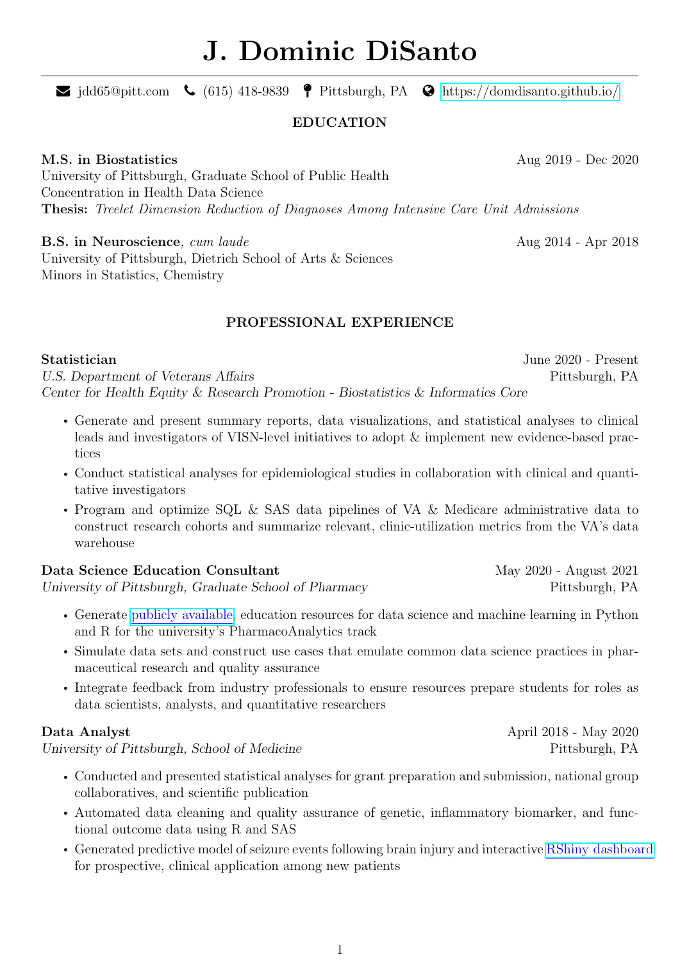# J. Dominic DiSanto

 $\blacktriangleright$  jdd65@pitt.com  $\blacklozenge$  (615) 418-9839  $\blacklozenge$  Pittsburgh, PA  $\blacklozenge$  <https://domdisanto.github.io/>

### EDUCATION

### M.S. in Biostatistics Aug 2019 - Dec 2020

University of Pittsburgh, Graduate School of Public Health Concentration in Health Data Science Thesis: Treelet Dimension Reduction of Diagnoses Among Intensive Care Unit Admissions

### **B.S. in Neuroscience**, cum laude Aug 2014 - Apr 2018

University of Pittsburgh, Dietrich School of Arts & Sciences Minors in Statistics, Chemistry

# PROFESSIONAL EXPERIENCE

### Statistician June 2020 - Present

U.S. Department of Veterans Affairs Pittsburgh, PA Center for Health Equity & Research Promotion - Biostatistics & Informatics Core

- Generate and present summary reports, data visualizations, and statistical analyses to clinical leads and investigators of VISN-level initiatives to adopt & implement new evidence-based practices
- Conduct statistical analyses for epidemiological studies in collaboration with clinical and quantitative investigators
- Program and optimize SQL & SAS data pipelines of VA & Medicare administrative data to construct research cohorts and summarize relevant, clinic-utilization metrics from the VA's data warehouse

| Data Science Education Consultant                     | May 2020 - August 2021 |
|-------------------------------------------------------|------------------------|
| University of Pittsburgh, Graduate School of Pharmacy | Pittsburgh, PA         |

- Generate [publicly available,](https://domdisanto.github.io/Python_OER/) education resources for data science and machine learning in Python and R for the university's PharmacoAnalytics track
- Simulate data sets and construct use cases that emulate common data science practices in pharmaceutical research and quality assurance
- Integrate feedback from industry professionals to ensure resources prepare students for roles as data scientists, analysts, and quantitative researchers

University of Pittsburgh, School of Medicine Pittsburgh, PA

- Conducted and presented statistical analyses for grant preparation and submission, national group collaboratives, and scientific publication
- Automated data cleaning and quality assurance of genetic, inflammatory biomarker, and functional outcome data using R and SAS
- Generated predictive model of seizure events following brain injury and interactive [RShiny dashboard](https://dominic-disanto.shinyapps.io/TBI_PTS_RiskCalculator/) for prospective, clinical application among new patients

Data Analyst April 2018 - May 2020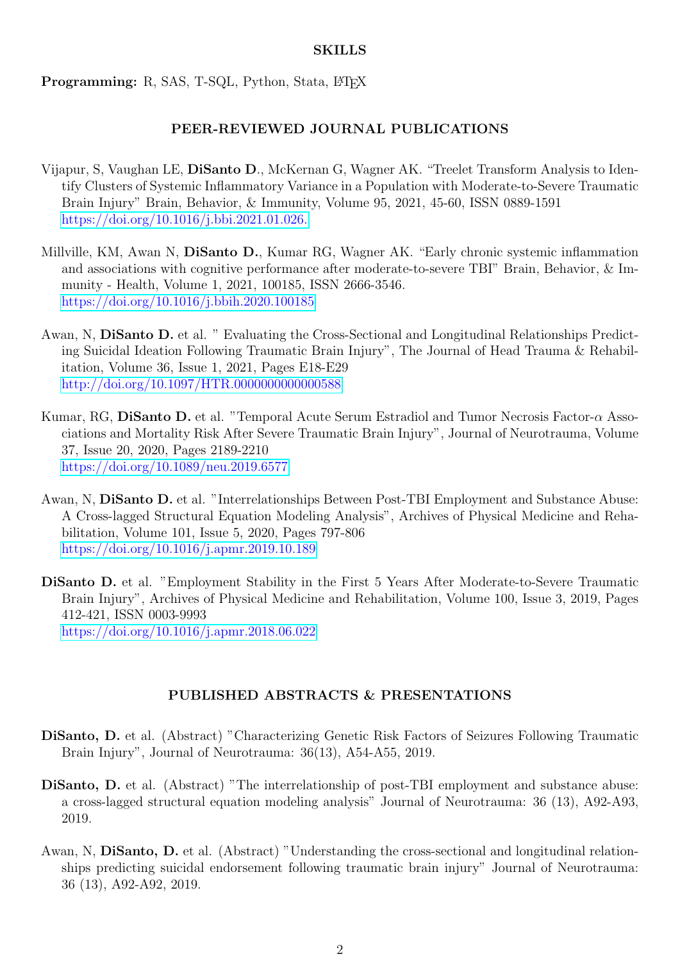### SKILLS

Programming: R, SAS, T-SQL, Python, Stata, L<sup>T</sup>FX

# PEER-REVIEWED JOURNAL PUBLICATIONS

- Vijapur, S, Vaughan LE, DiSanto D., McKernan G, Wagner AK. "Treelet Transform Analysis to Identify Clusters of Systemic Inflammatory Variance in a Population with Moderate-to-Severe Traumatic Brain Injury" Brain, Behavior, & Immunity, Volume 95, 2021, 45-60, ISSN 0889-1591 [https://doi.org/10.1016/j.bbi.2021.01.026.](https://doi.org/10.1016/j.bbi.2021.01.026)
- Millville, KM, Awan N, DiSanto D., Kumar RG, Wagner AK. "Early chronic systemic inflammation and associations with cognitive performance after moderate-to-severe TBI" Brain, Behavior, & Immunity - Health, Volume 1, 2021, 100185, ISSN 2666-3546. <https://doi.org/10.1016/j.bbih.2020.100185>
- Awan, N, DiSanto D. et al. " Evaluating the Cross-Sectional and Longitudinal Relationships Predicting Suicidal Ideation Following Traumatic Brain Injury", The Journal of Head Trauma & Rehabilitation, Volume 36, Issue 1, 2021, Pages E18-E29 <http://doi.org/10.1097/HTR.0000000000000588>
- Kumar, RG, DiSanto D. et al. "Temporal Acute Serum Estradiol and Tumor Necrosis Factor- $\alpha$  Associations and Mortality Risk After Severe Traumatic Brain Injury", Journal of Neurotrauma, Volume 37, Issue 20, 2020, Pages 2189-2210 <https://doi.org/10.1089/neu.2019.6577>
- Awan, N, DiSanto D. et al. "Interrelationships Between Post-TBI Employment and Substance Abuse: A Cross-lagged Structural Equation Modeling Analysis", Archives of Physical Medicine and Rehabilitation, Volume 101, Issue 5, 2020, Pages 797-806 <https://doi.org/10.1016/j.apmr.2019.10.189>
- DiSanto D. et al. "Employment Stability in the First 5 Years After Moderate-to-Severe Traumatic Brain Injury", Archives of Physical Medicine and Rehabilitation, Volume 100, Issue 3, 2019, Pages 412-421, ISSN 0003-9993 <https://doi.org/10.1016/j.apmr.2018.06.022>

# PUBLISHED ABSTRACTS & PRESENTATIONS

- DiSanto, D. et al. (Abstract) "Characterizing Genetic Risk Factors of Seizures Following Traumatic Brain Injury", Journal of Neurotrauma: 36(13), A54-A55, 2019.
- DiSanto, D. et al. (Abstract) "The interrelationship of post-TBI employment and substance abuse: a cross-lagged structural equation modeling analysis" Journal of Neurotrauma: 36 (13), A92-A93, 2019.
- Awan, N, DiSanto, D. et al. (Abstract) "Understanding the cross-sectional and longitudinal relationships predicting suicidal endorsement following traumatic brain injury" Journal of Neurotrauma: 36 (13), A92-A92, 2019.